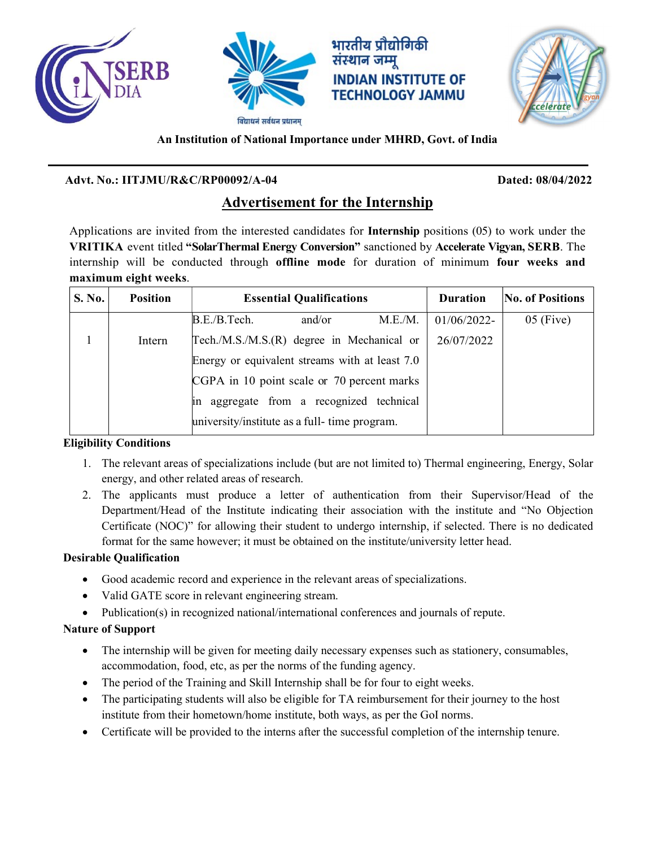





# An Institution of National Importance under MHRD, Govt. of India

**INDIAN INSTITUTE OF TECHNOLOGY JAMMU** 

# Advt. No.: IITJMU/R&C/RP00092/A-04 Dated: 08/04/2022

# Advertisement for the Internship

Applications are invited from the interested candidates for Internship positions (05) to work under the VRITIKA event titled "SolarThermal Energy Conversion" sanctioned by Accelerate Vigyan, SERB. The internship will be conducted through offline mode for duration of minimum four weeks and maximum eight weeks.

| S. No. | <b>Position</b> | <b>Essential Qualifications</b>                | <b>Duration</b> | No. of Positions |
|--------|-----------------|------------------------------------------------|-----------------|------------------|
|        |                 | M.E.M.<br>B.E./B.Tech.<br>and/or               | 01/06/2022-     | $05$ (Five)      |
|        | Intern          | Tech./M.S./M.S.(R) degree in Mechanical or     | 26/07/2022      |                  |
|        |                 | Energy or equivalent streams with at least 7.0 |                 |                  |
|        |                 | CGPA in 10 point scale or 70 percent marks     |                 |                  |
|        |                 | in aggregate from a recognized technical       |                 |                  |
|        |                 | university/institute as a full-time program.   |                 |                  |

# Eligibility Conditions

- 1. The relevant areas of specializations include (but are not limited to) Thermal engineering, Energy, Solar energy, and other related areas of research.
- 2. The applicants must produce a letter of authentication from their Supervisor/Head of the Department/Head of the Institute indicating their association with the institute and "No Objection Certificate (NOC)" for allowing their student to undergo internship, if selected. There is no dedicated format for the same however; it must be obtained on the institute/university letter head.

# Desirable Qualification

- Good academic record and experience in the relevant areas of specializations.
- Valid GATE score in relevant engineering stream.
- Publication(s) in recognized national/international conferences and journals of repute.

# Nature of Support

- The internship will be given for meeting daily necessary expenses such as stationery, consumables, accommodation, food, etc, as per the norms of the funding agency.
- The period of the Training and Skill Internship shall be for four to eight weeks.
- The participating students will also be eligible for TA reimbursement for their journey to the host institute from their hometown/home institute, both ways, as per the GoI norms.
- Certificate will be provided to the interns after the successful completion of the internship tenure.